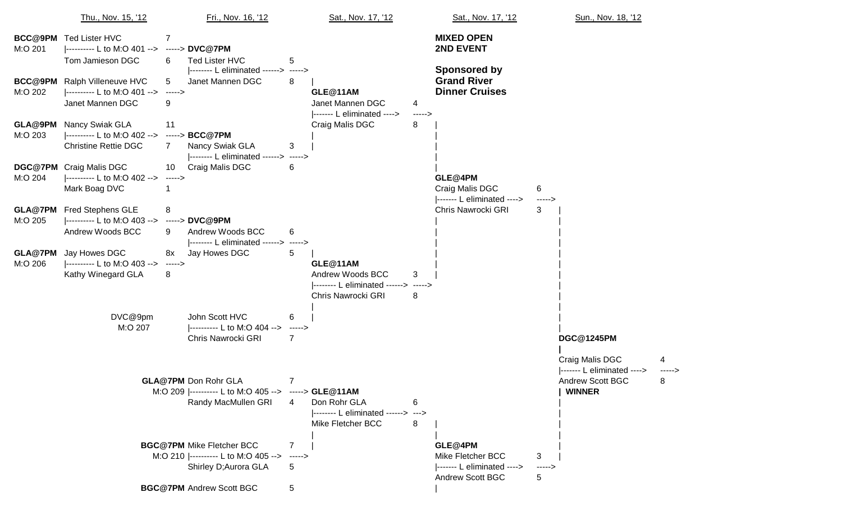